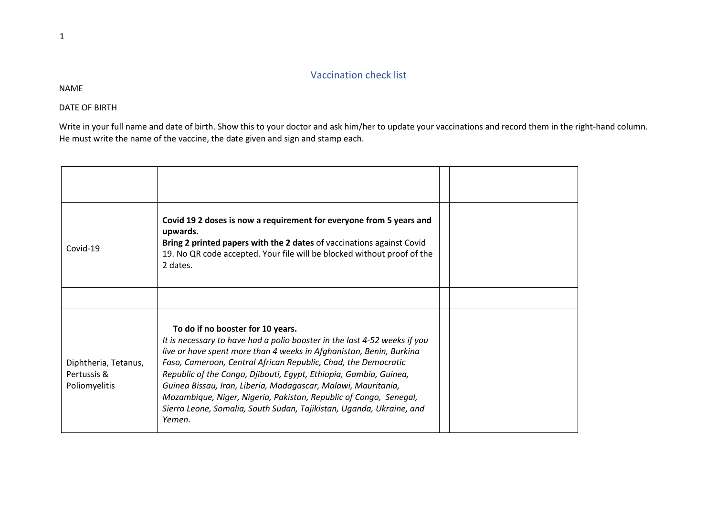## Vaccination check list

NAME

DATE OF BIRTH

Write in your full name and date of birth. Show this to your doctor and ask him/her to update your vaccinations and record them in the right-hand column. He must write the name of the vaccine, the date given and sign and stamp each.

| Covid-19                                             | Covid 19 2 doses is now a requirement for everyone from 5 years and<br>upwards.<br>Bring 2 printed papers with the 2 dates of vaccinations against Covid<br>19. No QR code accepted. Your file will be blocked without proof of the<br>2 dates.                                                                                                                                                                                                                                                                                                      |  |
|------------------------------------------------------|------------------------------------------------------------------------------------------------------------------------------------------------------------------------------------------------------------------------------------------------------------------------------------------------------------------------------------------------------------------------------------------------------------------------------------------------------------------------------------------------------------------------------------------------------|--|
|                                                      |                                                                                                                                                                                                                                                                                                                                                                                                                                                                                                                                                      |  |
| Diphtheria, Tetanus,<br>Pertussis &<br>Poliomyelitis | To do if no booster for 10 years.<br>It is necessary to have had a polio booster in the last 4-52 weeks if you<br>live or have spent more than 4 weeks in Afghanistan, Benin, Burkina<br>Faso, Cameroon, Central African Republic, Chad, the Democratic<br>Republic of the Congo, Djibouti, Egypt, Ethiopia, Gambia, Guinea,<br>Guinea Bissau, Iran, Liberia, Madagascar, Malawi, Mauritania,<br>Mozambique, Niger, Nigeria, Pakistan, Republic of Congo, Senegal,<br>Sierra Leone, Somalia, South Sudan, Tajikistan, Uganda, Ukraine, and<br>Yemen. |  |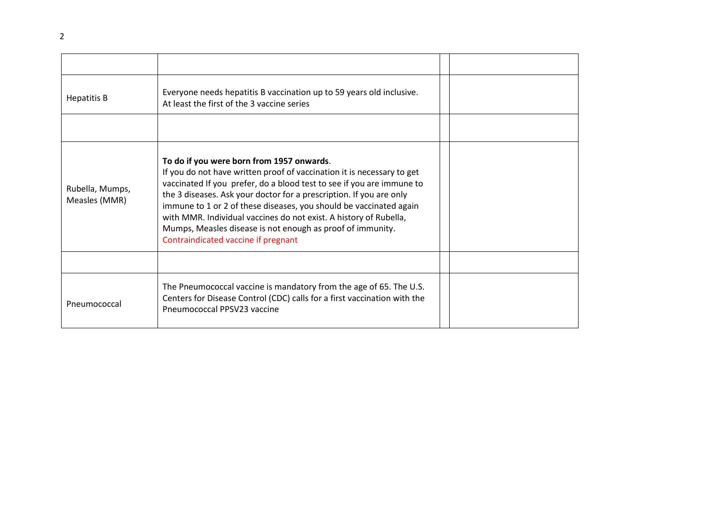| <b>Hepatitis B</b>               | Everyone needs hepatitis B vaccination up to 59 years old inclusive.<br>At least the first of the 3 vaccine series                                                                                                                                                                                                                                                                                                                                                                                                  |  |
|----------------------------------|---------------------------------------------------------------------------------------------------------------------------------------------------------------------------------------------------------------------------------------------------------------------------------------------------------------------------------------------------------------------------------------------------------------------------------------------------------------------------------------------------------------------|--|
|                                  |                                                                                                                                                                                                                                                                                                                                                                                                                                                                                                                     |  |
| Rubella, Mumps,<br>Measles (MMR) | To do if you were born from 1957 onwards.<br>If you do not have written proof of vaccination it is necessary to get<br>vaccinated If you prefer, do a blood test to see if you are immune to<br>the 3 diseases. Ask your doctor for a prescription. If you are only<br>immune to 1 or 2 of these diseases, you should be vaccinated again<br>with MMR. Individual vaccines do not exist. A history of Rubella,<br>Mumps, Measles disease is not enough as proof of immunity.<br>Contraindicated vaccine if pregnant |  |
|                                  |                                                                                                                                                                                                                                                                                                                                                                                                                                                                                                                     |  |
| Pneumococcal                     | The Pneumococcal vaccine is mandatory from the age of 65. The U.S.<br>Centers for Disease Control (CDC) calls for a first vaccination with the<br>Pneumococcal PPSV23 vaccine                                                                                                                                                                                                                                                                                                                                       |  |